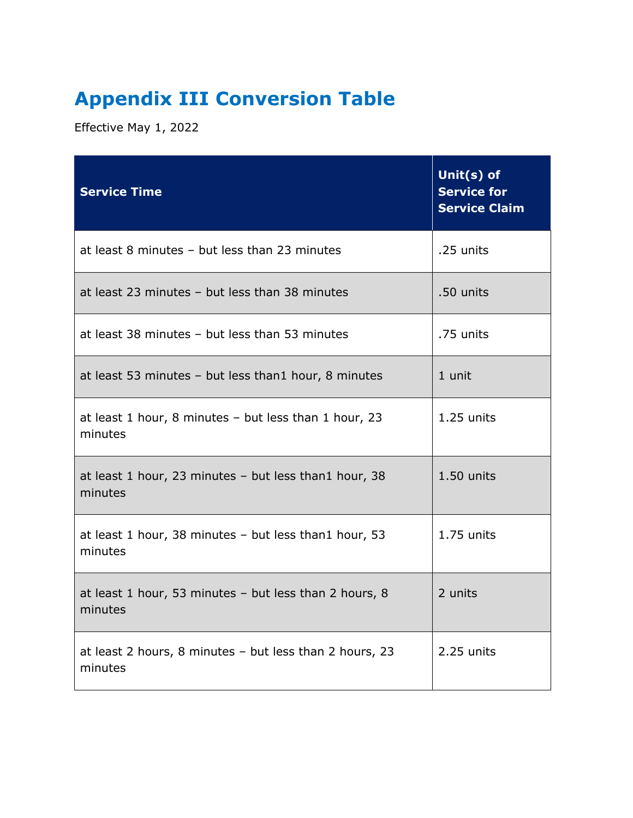## **Appendix III Conversion Table**

Effective May 1, 2022

| <b>Service Time</b>                                                | Unit(s) of<br><b>Service for</b><br><b>Service Claim</b> |
|--------------------------------------------------------------------|----------------------------------------------------------|
| at least 8 minutes - but less than 23 minutes                      | .25 units                                                |
| at least 23 minutes - but less than 38 minutes                     | .50 units                                                |
| at least 38 minutes - but less than 53 minutes                     | .75 units                                                |
| at least 53 minutes - but less than1 hour, 8 minutes               | 1 unit                                                   |
| at least 1 hour, 8 minutes - but less than 1 hour, 23<br>minutes   | 1.25 units                                               |
| at least 1 hour, 23 minutes - but less than1 hour, 38<br>minutes   | 1.50 units                                               |
| at least 1 hour, 38 minutes - but less than1 hour, 53<br>minutes   | 1.75 units                                               |
| at least 1 hour, 53 minutes - but less than 2 hours, 8<br>minutes  | 2 units                                                  |
| at least 2 hours, 8 minutes - but less than 2 hours, 23<br>minutes | 2.25 units                                               |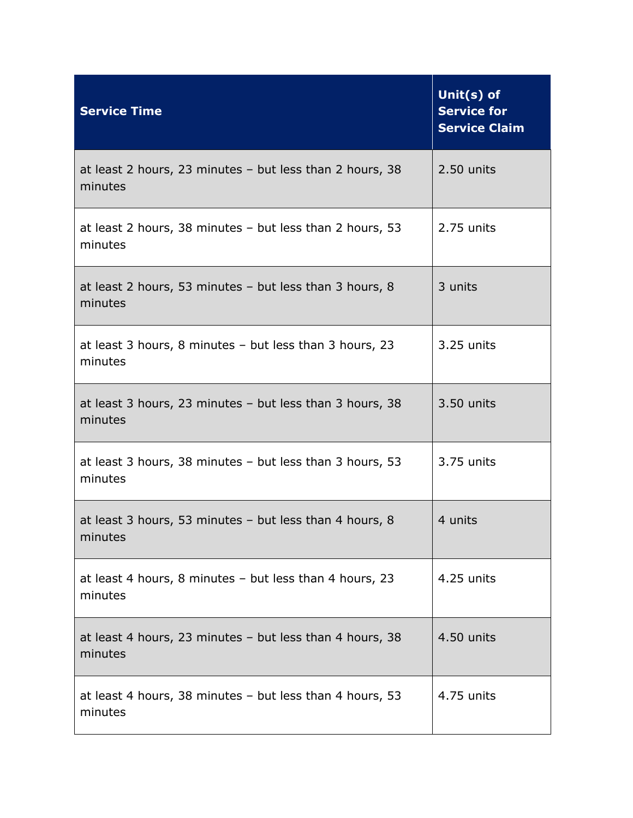| <b>Service Time</b>                                                   | Unit(s) of<br><b>Service for</b><br><b>Service Claim</b> |
|-----------------------------------------------------------------------|----------------------------------------------------------|
| at least 2 hours, 23 minutes $-$ but less than 2 hours, 38<br>minutes | 2.50 units                                               |
| at least 2 hours, 38 minutes - but less than 2 hours, 53<br>minutes   | 2.75 units                                               |
| at least 2 hours, 53 minutes - but less than 3 hours, 8<br>minutes    | 3 units                                                  |
| at least 3 hours, 8 minutes - but less than 3 hours, 23<br>minutes    | 3.25 units                                               |
| at least 3 hours, 23 minutes - but less than 3 hours, 38<br>minutes   | 3.50 units                                               |
| at least 3 hours, 38 minutes - but less than 3 hours, 53<br>minutes   | 3.75 units                                               |
| at least 3 hours, 53 minutes $-$ but less than 4 hours, 8<br>minutes  | 4 units                                                  |
| at least 4 hours, 8 minutes - but less than 4 hours, 23<br>minutes    | 4.25 units                                               |
| at least 4 hours, 23 minutes - but less than 4 hours, 38<br>minutes   | 4.50 units                                               |
| at least 4 hours, 38 minutes - but less than 4 hours, 53<br>minutes   | 4.75 units                                               |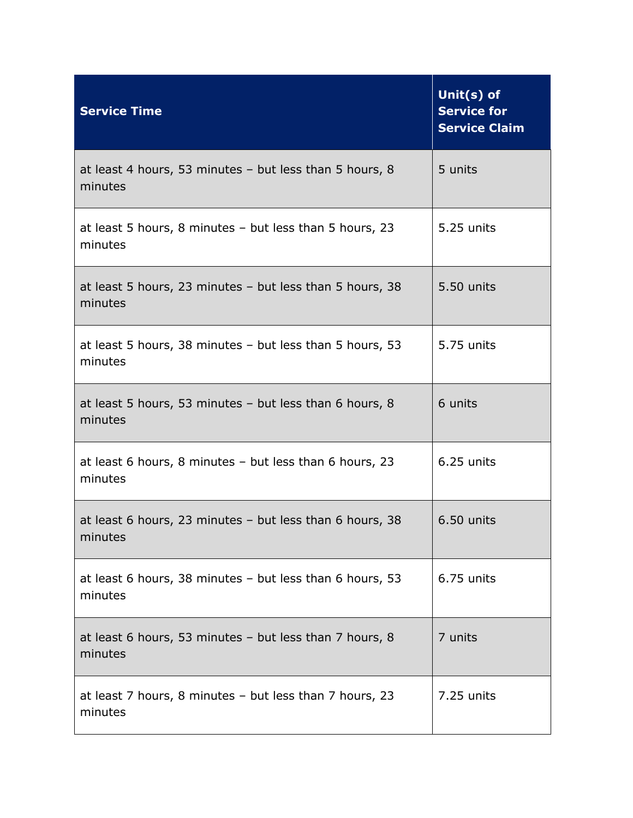| <b>Service Time</b>                                                  | Unit(s) of<br><b>Service for</b><br><b>Service Claim</b> |
|----------------------------------------------------------------------|----------------------------------------------------------|
| at least 4 hours, 53 minutes $-$ but less than 5 hours, 8<br>minutes | 5 units                                                  |
| at least 5 hours, 8 minutes - but less than 5 hours, 23<br>minutes   | 5.25 units                                               |
| at least 5 hours, 23 minutes - but less than 5 hours, 38<br>minutes  | 5.50 units                                               |
| at least 5 hours, 38 minutes - but less than 5 hours, 53<br>minutes  | 5.75 units                                               |
| at least 5 hours, 53 minutes - but less than 6 hours, 8<br>minutes   | 6 units                                                  |
| at least 6 hours, 8 minutes $-$ but less than 6 hours, 23<br>minutes | 6.25 units                                               |
| at least 6 hours, 23 minutes - but less than 6 hours, 38<br>minutes  | 6.50 units                                               |
| at least 6 hours, 38 minutes - but less than 6 hours, 53<br>minutes  | 6.75 units                                               |
| at least 6 hours, 53 minutes - but less than 7 hours, 8<br>minutes   | 7 units                                                  |
| at least 7 hours, 8 minutes - but less than 7 hours, 23<br>minutes   | 7.25 units                                               |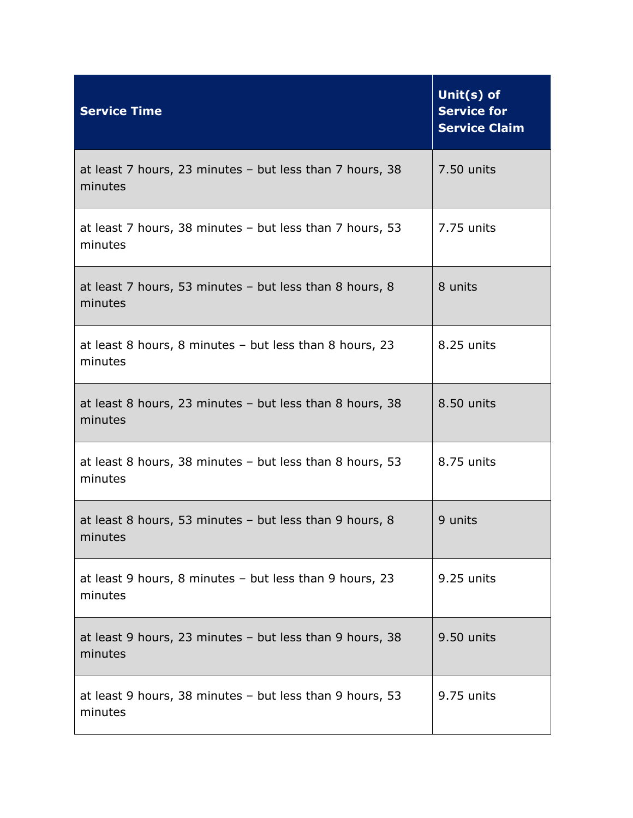| <b>Service Time</b>                                                   | Unit(s) of<br><b>Service for</b><br><b>Service Claim</b> |
|-----------------------------------------------------------------------|----------------------------------------------------------|
| at least 7 hours, 23 minutes $-$ but less than 7 hours, 38<br>minutes | 7.50 units                                               |
| at least 7 hours, 38 minutes - but less than 7 hours, 53<br>minutes   | 7.75 units                                               |
| at least 7 hours, 53 minutes - but less than 8 hours, 8<br>minutes    | 8 units                                                  |
| at least 8 hours, 8 minutes - but less than 8 hours, 23<br>minutes    | 8.25 units                                               |
| at least 8 hours, 23 minutes - but less than 8 hours, 38<br>minutes   | 8.50 units                                               |
| at least 8 hours, 38 minutes - but less than 8 hours, 53<br>minutes   | 8.75 units                                               |
| at least 8 hours, 53 minutes - but less than 9 hours, 8<br>minutes    | 9 units                                                  |
| at least 9 hours, 8 minutes - but less than 9 hours, 23<br>minutes    | 9.25 units                                               |
| at least 9 hours, 23 minutes - but less than 9 hours, 38<br>minutes   | 9.50 units                                               |
| at least 9 hours, 38 minutes - but less than 9 hours, 53<br>minutes   | 9.75 units                                               |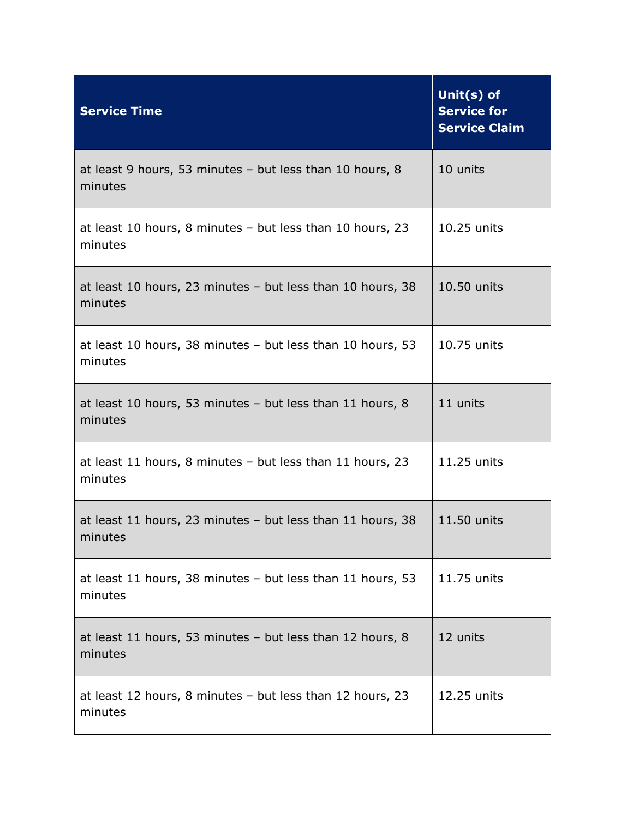| <b>Service Time</b>                                                     | Unit(s) of<br><b>Service for</b><br><b>Service Claim</b> |
|-------------------------------------------------------------------------|----------------------------------------------------------|
| at least 9 hours, 53 minutes - but less than 10 hours, 8<br>minutes     | 10 units                                                 |
| at least 10 hours, 8 minutes - but less than 10 hours, 23<br>minutes    | 10.25 units                                              |
| at least 10 hours, 23 minutes $-$ but less than 10 hours, 38<br>minutes | 10.50 units                                              |
| at least 10 hours, 38 minutes - but less than 10 hours, 53<br>minutes   | 10.75 units                                              |
| at least 10 hours, 53 minutes - but less than 11 hours, 8<br>minutes    | 11 units                                                 |
| at least 11 hours, 8 minutes - but less than 11 hours, 23<br>minutes    | 11.25 units                                              |
| at least 11 hours, 23 minutes $-$ but less than 11 hours, 38<br>minutes | 11.50 units                                              |
| at least 11 hours, 38 minutes - but less than 11 hours, 53<br>minutes   | 11.75 units                                              |
| at least 11 hours, 53 minutes - but less than 12 hours, 8<br>minutes    | 12 units                                                 |
| at least 12 hours, 8 minutes $-$ but less than 12 hours, 23<br>minutes  | 12.25 units                                              |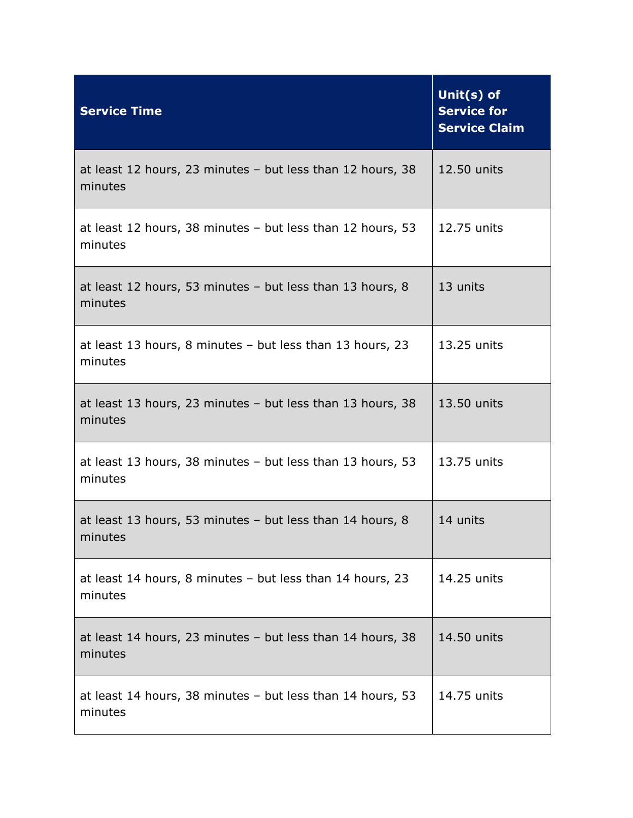| <b>Service Time</b>                                                     | Unit(s) of<br><b>Service for</b><br><b>Service Claim</b> |
|-------------------------------------------------------------------------|----------------------------------------------------------|
| at least 12 hours, 23 minutes $-$ but less than 12 hours, 38<br>minutes | 12.50 units                                              |
| at least 12 hours, 38 minutes - but less than 12 hours, 53<br>minutes   | 12.75 units                                              |
| at least 12 hours, 53 minutes - but less than 13 hours, 8<br>minutes    | 13 units                                                 |
| at least 13 hours, 8 minutes - but less than 13 hours, 23<br>minutes    | 13.25 units                                              |
| at least 13 hours, 23 minutes $-$ but less than 13 hours, 38<br>minutes | 13.50 units                                              |
| at least 13 hours, 38 minutes $-$ but less than 13 hours, 53<br>minutes | 13.75 units                                              |
| at least 13 hours, 53 minutes - but less than 14 hours, 8<br>minutes    | 14 units                                                 |
| at least 14 hours, 8 minutes - but less than 14 hours, 23<br>minutes    | 14.25 units                                              |
| at least 14 hours, 23 minutes $-$ but less than 14 hours, 38<br>minutes | 14.50 units                                              |
| at least 14 hours, 38 minutes - but less than 14 hours, 53<br>minutes   | 14.75 units                                              |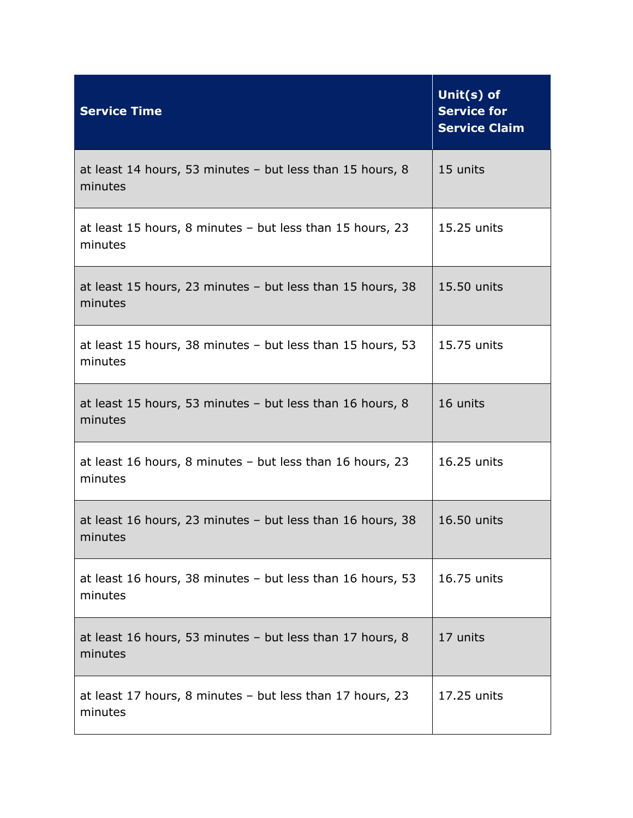| <b>Service Time</b>                                                   | Unit(s) of<br><b>Service for</b><br><b>Service Claim</b> |
|-----------------------------------------------------------------------|----------------------------------------------------------|
| at least 14 hours, 53 minutes - but less than 15 hours, 8<br>minutes  | 15 units                                                 |
| at least 15 hours, 8 minutes - but less than 15 hours, 23<br>minutes  | 15.25 units                                              |
| at least 15 hours, 23 minutes - but less than 15 hours, 38<br>minutes | 15.50 units                                              |
| at least 15 hours, 38 minutes - but less than 15 hours, 53<br>minutes | 15.75 units                                              |
| at least 15 hours, 53 minutes - but less than 16 hours, 8<br>minutes  | 16 units                                                 |
| at least 16 hours, 8 minutes - but less than 16 hours, 23<br>minutes  | 16.25 units                                              |
| at least 16 hours, 23 minutes - but less than 16 hours, 38<br>minutes | 16.50 units                                              |
| at least 16 hours, 38 minutes - but less than 16 hours, 53<br>minutes | 16.75 units                                              |
| at least 16 hours, 53 minutes - but less than 17 hours, 8<br>minutes  | 17 units                                                 |
| at least 17 hours, 8 minutes - but less than 17 hours, 23<br>minutes  | 17.25 units                                              |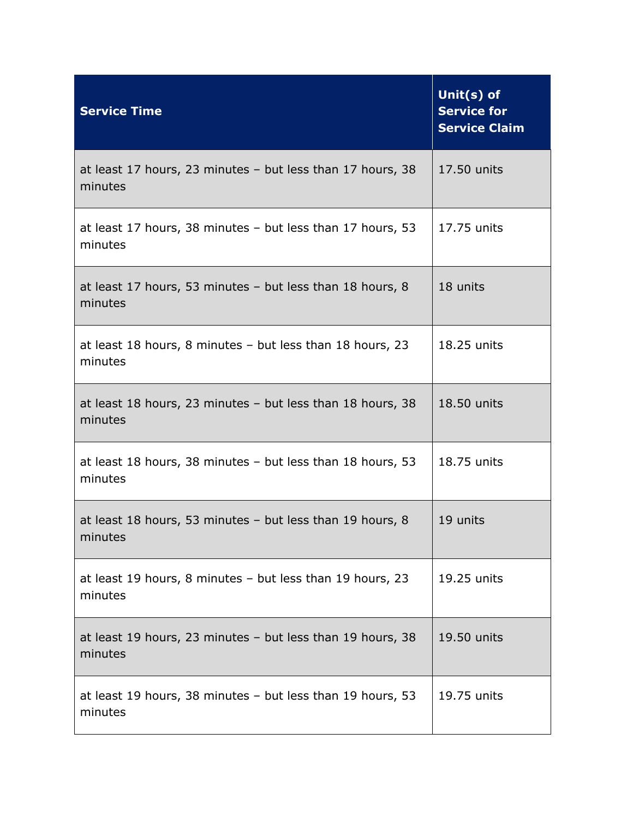| <b>Service Time</b>                                                     | Unit(s) of<br><b>Service for</b><br><b>Service Claim</b> |
|-------------------------------------------------------------------------|----------------------------------------------------------|
| at least 17 hours, 23 minutes - but less than 17 hours, 38<br>minutes   | 17.50 units                                              |
| at least 17 hours, 38 minutes - but less than 17 hours, 53<br>minutes   | 17.75 units                                              |
| at least 17 hours, 53 minutes - but less than 18 hours, 8<br>minutes    | 18 units                                                 |
| at least 18 hours, 8 minutes - but less than 18 hours, 23<br>minutes    | 18.25 units                                              |
| at least 18 hours, 23 minutes $-$ but less than 18 hours, 38<br>minutes | 18.50 units                                              |
| at least 18 hours, 38 minutes - but less than 18 hours, 53<br>minutes   | 18.75 units                                              |
| at least 18 hours, 53 minutes - but less than 19 hours, 8<br>minutes    | 19 units                                                 |
| at least 19 hours, 8 minutes - but less than 19 hours, 23<br>minutes    | 19.25 units                                              |
| at least 19 hours, 23 minutes $-$ but less than 19 hours, 38<br>minutes | 19.50 units                                              |
| at least 19 hours, 38 minutes - but less than 19 hours, 53<br>minutes   | 19.75 units                                              |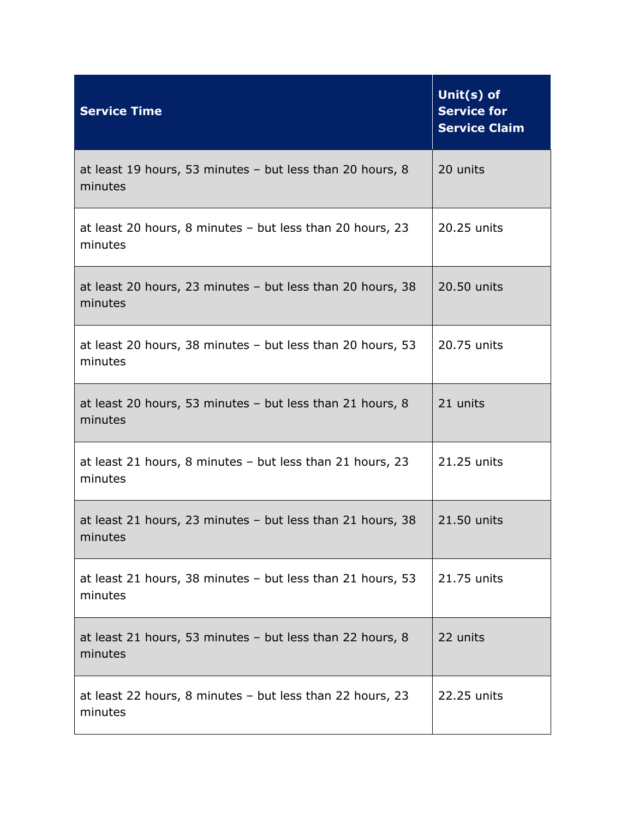| <b>Service Time</b>                                                     | Unit(s) of<br><b>Service for</b><br><b>Service Claim</b> |
|-------------------------------------------------------------------------|----------------------------------------------------------|
| at least 19 hours, 53 minutes - but less than 20 hours, 8<br>minutes    | 20 units                                                 |
| at least 20 hours, 8 minutes - but less than 20 hours, 23<br>minutes    | 20.25 units                                              |
| at least 20 hours, 23 minutes $-$ but less than 20 hours, 38<br>minutes | 20.50 units                                              |
| at least 20 hours, 38 minutes - but less than 20 hours, 53<br>minutes   | 20.75 units                                              |
| at least 20 hours, 53 minutes - but less than 21 hours, 8<br>minutes    | 21 units                                                 |
| at least 21 hours, 8 minutes - but less than 21 hours, 23<br>minutes    | 21.25 units                                              |
| at least 21 hours, 23 minutes $-$ but less than 21 hours, 38<br>minutes | 21.50 units                                              |
| at least 21 hours, 38 minutes $-$ but less than 21 hours, 53<br>minutes | 21.75 units                                              |
| at least 21 hours, 53 minutes - but less than 22 hours, 8<br>minutes    | 22 units                                                 |
| at least 22 hours, 8 minutes – but less than 22 hours, 23<br>minutes    | 22.25 units                                              |